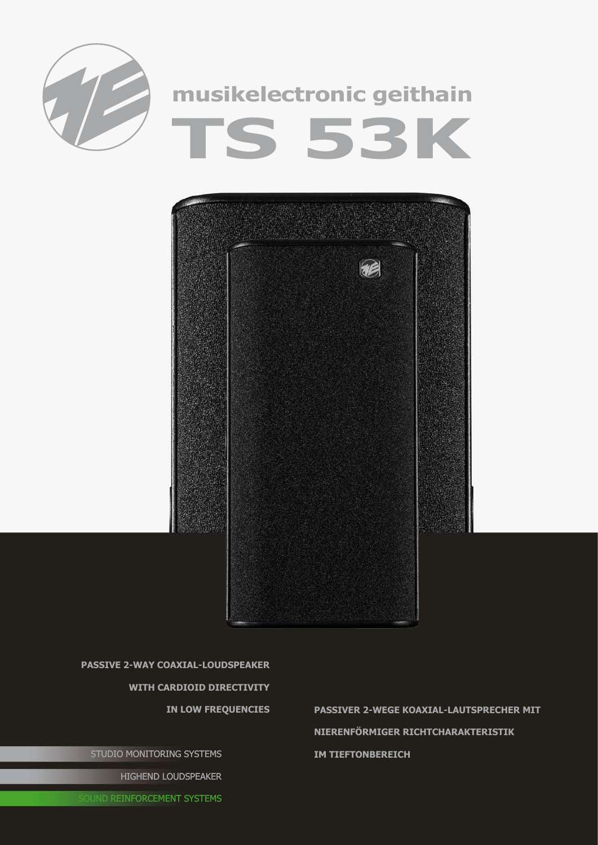



**passive 2-way coaxial-Loudspeaker with cardioid directivity** 

STUDIO MONITORING SYSTEMS

HIGHEND LOUDSPEAKER

**in low frequencies passiveR 2-wEGE Koaxial-lAUTSPRECHER mit nierenförmiger Richtcharakteristik im Tieftonbereich**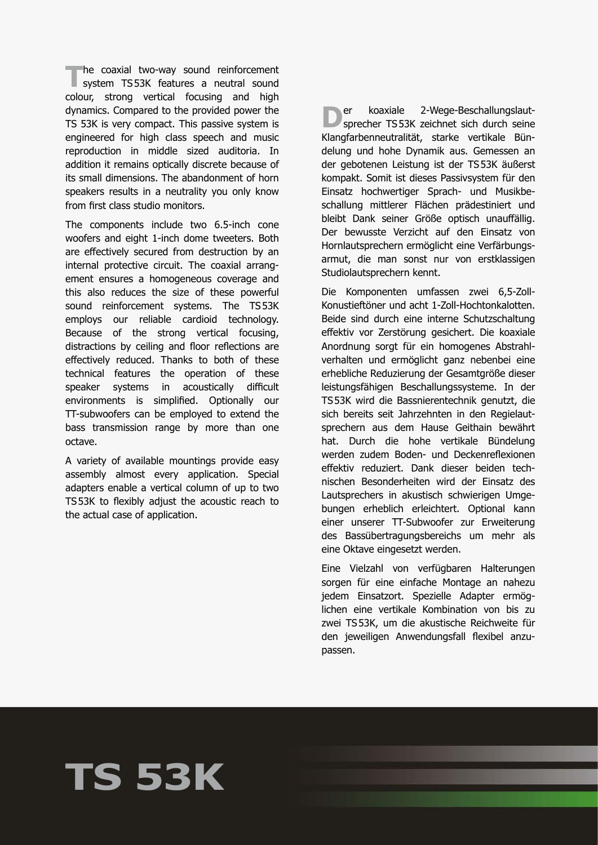**The coaxial two-way sound reinforcement**<br>
system TS53K features a neutral sound<br>
system throw weather features and high colour, strong vertical focusing and high dynamics. Compared to the provided power the TS 53K is very compact. This passive system is engineered for high class speech and music reproduction in middle sized auditoria. In addition it remains optically discrete because of its small dimensions. The abandonment of horn speakers results in a neutrality you only know from first class studio monitors.

The components include two 6.5-inch cone woofers and eight 1-inch dome tweeters. Both are effectively secured from destruction by an internal protective circuit. The coaxial arrangement ensures a homogeneous coverage and this also reduces the size of these powerful sound reinforcement systems. The TS53K employs our reliable cardioid technology. Because of the strong vertical focusing, distractions by ceiling and floor reflections are effectively reduced. Thanks to both of these technical features the operation of these speaker systems in acoustically difficult environments is simplified. Optionally our TT-subwoofers can be employed to extend the bass transmission range by more than one octave.

A variety of available mountings provide easy assembly almost every application. Special adapters enable a vertical column of up to two TS53K to flexibly adjust the acoustic reach to the actual case of application.

**D**er koaxiale 2-Wege-Beschallungslaut-<br>sprecher TS53K zeichnet sich durch seine Klangfarbenneutralität, starke vertikale Bündelung und hohe Dynamik aus. Gemessen an der gebotenen Leistung ist der TS53K äußerst kompakt. Somit ist dieses Passivsystem für den Einsatz hochwertiger Sprach- und Musikbeschallung mittlerer Flächen prädestiniert und bleibt Dank seiner Größe optisch unauffällig. Der bewusste Verzicht auf den Einsatz von Hornlautsprechern ermöglicht eine Verfärbungsarmut, die man sonst nur von erstklassigen Studiolautsprechern kennt.

Die Komponenten umfassen zwei 6,5-Zoll-Konustieftöner und acht 1-Zoll-Hochtonkalotten. Beide sind durch eine interne Schutzschaltung effektiv vor Zerstörung gesichert. Die koaxiale Anordnung sorgt für ein homogenes Abstrahlverhalten und ermöglicht ganz nebenbei eine erhebliche Reduzierung der Gesamtgröße dieser leistungsfähigen Beschallungssysteme. In der TS53K wird die Bassnierentechnik genutzt, die sich bereits seit Jahrzehnten in den Regielautsprechern aus dem Hause Geithain bewährt hat. Durch die hohe vertikale Bündelung werden zudem Boden- und Deckenreflexionen effektiv reduziert. Dank dieser beiden technischen Besonderheiten wird der Einsatz des Lautsprechers in akustisch schwierigen Umgebungen erheblich erleichtert. Optional kann einer unserer TT-Subwoofer zur Erweiterung des Bassübertragungsbereichs um mehr als eine Oktave eingesetzt werden.

Eine Vielzahl von verfügbaren Halterungen sorgen für eine einfache Montage an nahezu jedem Einsatzort. Spezielle Adapter ermöglichen eine vertikale Kombination von bis zu zwei TS53K, um die akustische Reichweite für den jeweiligen Anwendungsfall flexibel anzupassen.

## **TS 53K**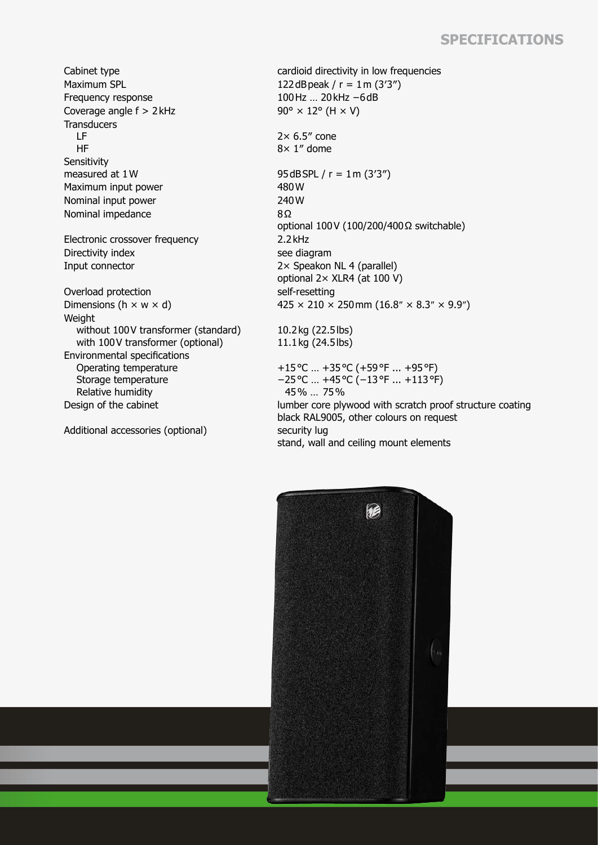## **Specifications**

Maximum SPL  $122 dB$ peak /  $r = 1$ m (3'3") Frequency response 100Hz … 20kHz −6dB Coverage angle  $f > 2$ kHz 90° × 12° (H  $\times$  V) **Transducers**  LF HF **Sensitivity** measured at  $1W$  95dBSPL /  $r = 1m$  (3'3") Maximum input power 480 W Nominal input power 240W Nominal impedance 8Ω Electronic crossover frequency 2.2 kHz Directivity index see diagram Input connector 2× Speakon NL 4 (parallel) Overload protection self-resetting **Weight**  without 100V transformer (standard) with 100V transformer (optional) Environmental specifications Operating temperature Storage temperature Relative humidity

Additional accessories (optional) security lug

Cabinet type **cardioid directivity in low frequencies**  $2 \times 6.5$ " cone 8× 1″ dome optional 100V (100/200/400Ω switchable) optional 2× XLR4 (at 100 V) Dimensions (h  $\times$  w  $\times$  d) 425  $\times$  210  $\times$  250 mm (16.8″  $\times$  8.3″  $\times$  9.9″) 10.2kg (22.5lbs) 11.1kg (24.5lbs) +15°C … +35°C (+59°F ... +95°F) −25°C … +45°C (−13°F ... +113°F) 45% … 75%

Design of the cabinet lumber core plywood with scratch proof structure coating black RAL9005, other colours on request stand, wall and ceiling mount elements